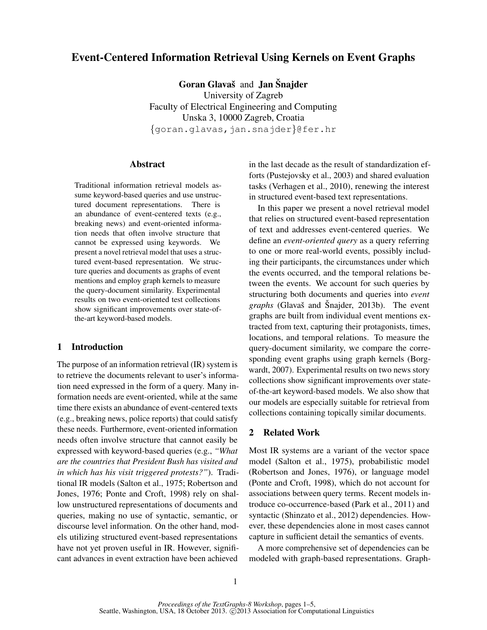# Event-Centered Information Retrieval Using Kernels on Event Graphs

Goran Glavaš and Jan Šnajder University of Zagreb Faculty of Electrical Engineering and Computing Unska 3, 10000 Zagreb, Croatia {goran.glavas,jan.snajder}@fer.hr

# Abstract

Traditional information retrieval models assume keyword-based queries and use unstructured document representations. There is an abundance of event-centered texts (e.g., breaking news) and event-oriented information needs that often involve structure that cannot be expressed using keywords. We present a novel retrieval model that uses a structured event-based representation. We structure queries and documents as graphs of event mentions and employ graph kernels to measure the query-document similarity. Experimental results on two event-oriented test collections show significant improvements over state-ofthe-art keyword-based models.

# 1 Introduction

The purpose of an information retrieval (IR) system is to retrieve the documents relevant to user's information need expressed in the form of a query. Many information needs are event-oriented, while at the same time there exists an abundance of event-centered texts (e.g., breaking news, police reports) that could satisfy these needs. Furthermore, event-oriented information needs often involve structure that cannot easily be expressed with keyword-based queries (e.g., *"What are the countries that President Bush has visited and in which has his visit triggered protests?"*). Traditional IR models (Salton et al., 1975; Robertson and Jones, 1976; Ponte and Croft, 1998) rely on shallow unstructured representations of documents and queries, making no use of syntactic, semantic, or discourse level information. On the other hand, models utilizing structured event-based representations have not yet proven useful in IR. However, significant advances in event extraction have been achieved in the last decade as the result of standardization efforts (Pustejovsky et al., 2003) and shared evaluation tasks (Verhagen et al., 2010), renewing the interest in structured event-based text representations.

In this paper we present a novel retrieval model that relies on structured event-based representation of text and addresses event-centered queries. We define an *event-oriented query* as a query referring to one or more real-world events, possibly including their participants, the circumstances under which the events occurred, and the temporal relations between the events. We account for such queries by structuring both documents and queries into *event graphs* (Glavaš and Šnajder, 2013b). The event graphs are built from individual event mentions extracted from text, capturing their protagonists, times, locations, and temporal relations. To measure the query-document similarity, we compare the corresponding event graphs using graph kernels (Borgwardt, 2007). Experimental results on two news story collections show significant improvements over stateof-the-art keyword-based models. We also show that our models are especially suitable for retrieval from collections containing topically similar documents.

# 2 Related Work

Most IR systems are a variant of the vector space model (Salton et al., 1975), probabilistic model (Robertson and Jones, 1976), or language model (Ponte and Croft, 1998), which do not account for associations between query terms. Recent models introduce co-occurrence-based (Park et al., 2011) and syntactic (Shinzato et al., 2012) dependencies. However, these dependencies alone in most cases cannot capture in sufficient detail the semantics of events.

A more comprehensive set of dependencies can be modeled with graph-based representations. Graph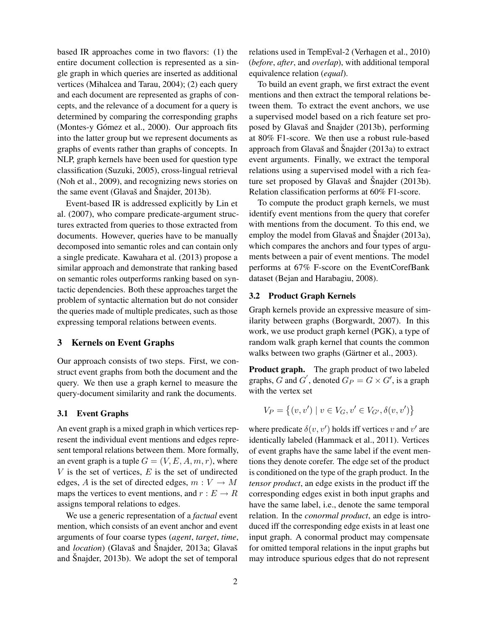based IR approaches come in two flavors: (1) the entire document collection is represented as a single graph in which queries are inserted as additional vertices (Mihalcea and Tarau, 2004); (2) each query and each document are represented as graphs of concepts, and the relevance of a document for a query is determined by comparing the corresponding graphs (Montes-y Gómez et al., 2000). Our approach fits into the latter group but we represent documents as graphs of events rather than graphs of concepts. In NLP, graph kernels have been used for question type classification (Suzuki, 2005), cross-lingual retrieval (Noh et al., 2009), and recognizing news stories on the same event (Glavaš and Šnajder,  $2013b$ ).

Event-based IR is addressed explicitly by Lin et al. (2007), who compare predicate-argument structures extracted from queries to those extracted from documents. However, queries have to be manually decomposed into semantic roles and can contain only a single predicate. Kawahara et al. (2013) propose a similar approach and demonstrate that ranking based on semantic roles outperforms ranking based on syntactic dependencies. Both these approaches target the problem of syntactic alternation but do not consider the queries made of multiple predicates, such as those expressing temporal relations between events.

# 3 Kernels on Event Graphs

Our approach consists of two steps. First, we construct event graphs from both the document and the query. We then use a graph kernel to measure the query-document similarity and rank the documents.

#### 3.1 Event Graphs

An event graph is a mixed graph in which vertices represent the individual event mentions and edges represent temporal relations between them. More formally, an event graph is a tuple  $G = (V, E, A, m, r)$ , where  $V$  is the set of vertices,  $E$  is the set of undirected edges, A is the set of directed edges,  $m: V \to M$ maps the vertices to event mentions, and  $r : E \to R$ assigns temporal relations to edges.

We use a generic representation of a *factual* event mention, which consists of an event anchor and event arguments of four coarse types (*agent*, *target*, *time*, and *location*) (Glavaš and Šnajder, 2013a; Glavaš and Snajder, 2013b). We adopt the set of temporal

relations used in TempEval-2 (Verhagen et al., 2010) (*before*, *after*, and *overlap*), with additional temporal equivalence relation (*equal*).

To build an event graph, we first extract the event mentions and then extract the temporal relations between them. To extract the event anchors, we use a supervised model based on a rich feature set proposed by Glavaš and Šnajder  $(2013b)$ , performing at 80% F1-score. We then use a robust rule-based approach from Glavaš and Šnajder  $(2013a)$  to extract event arguments. Finally, we extract the temporal relations using a supervised model with a rich feature set proposed by Glavaš and Šnajder  $(2013b)$ . Relation classification performs at 60% F1-score.

To compute the product graph kernels, we must identify event mentions from the query that corefer with mentions from the document. To this end, we employ the model from Glavaš and Šnajder  $(2013a)$ , which compares the anchors and four types of arguments between a pair of event mentions. The model performs at 67% F-score on the EventCorefBank dataset (Bejan and Harabagiu, 2008).

#### 3.2 Product Graph Kernels

Graph kernels provide an expressive measure of similarity between graphs (Borgwardt, 2007). In this work, we use product graph kernel (PGK), a type of random walk graph kernel that counts the common walks between two graphs (Gärtner et al., 2003).

Product graph. The graph product of two labeled graphs, G and G', denoted  $G_P = G \times G'$ , is a graph with the vertex set

$$
V_P = \{(v, v') \mid v \in V_G, v' \in V_{G'}, \delta(v, v')\}
$$

where predicate  $\delta(v, v')$  holds iff vertices v and v' are identically labeled (Hammack et al., 2011). Vertices of event graphs have the same label if the event mentions they denote corefer. The edge set of the product is conditioned on the type of the graph product. In the *tensor product*, an edge exists in the product iff the corresponding edges exist in both input graphs and have the same label, i.e., denote the same temporal relation. In the *conormal product*, an edge is introduced iff the corresponding edge exists in at least one input graph. A conormal product may compensate for omitted temporal relations in the input graphs but may introduce spurious edges that do not represent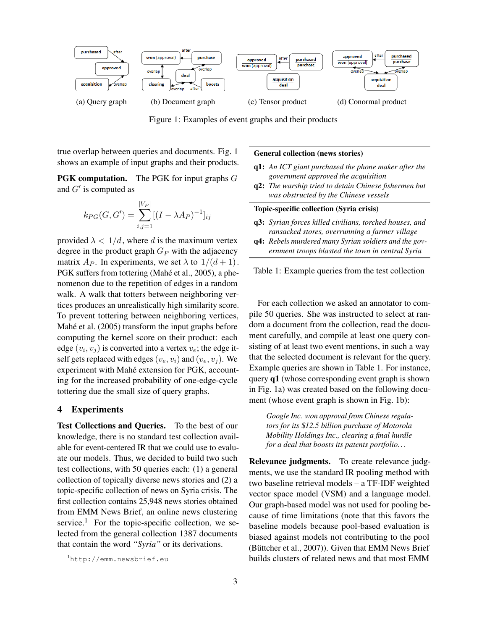

Figure 1: Examples of event graphs and their products

true overlap between queries and documents. Fig. 1 shows an example of input graphs and their products.

**PGK computation.** The PGK for input graphs G and  $G'$  is computed as

$$
k_{PG}(G, G') = \sum_{i,j=1}^{|V_P|} [(I - \lambda A_P)^{-1}]_{ij}
$$

provided  $\lambda < 1/d$ , where d is the maximum vertex degree in the product graph  $G_P$  with the adjacency matrix  $A_P$ . In experiments, we set  $\lambda$  to  $1/(d+1)$ . PGK suffers from tottering (Mahé et al., 2005), a phenomenon due to the repetition of edges in a random walk. A walk that totters between neighboring vertices produces an unrealistically high similarity score. To prevent tottering between neighboring vertices, Mahé et al. (2005) transform the input graphs before computing the kernel score on their product: each edge  $(v_i, v_j)$  is converted into a vertex  $v_e$ ; the edge itself gets replaced with edges  $(v_e, v_i)$  and  $(v_e, v_j)$ . We experiment with Mahé extension for PGK, accounting for the increased probability of one-edge-cycle tottering due the small size of query graphs.

# 4 Experiments

Test Collections and Queries. To the best of our knowledge, there is no standard test collection available for event-centered IR that we could use to evaluate our models. Thus, we decided to build two such test collections, with 50 queries each: (1) a general collection of topically diverse news stories and (2) a topic-specific collection of news on Syria crisis. The first collection contains 25,948 news stories obtained from EMM News Brief, an online news clustering service.<sup>1</sup> For the topic-specific collection, we selected from the general collection 1387 documents that contain the word *"Syria"* or its derivations.

#### General collection (news stories)

- q1: *An ICT giant purchased the phone maker after the government approved the acquisition*
- q2: *The warship tried to detain Chinese fishermen but was obstructed by the Chinese vessels*

# Topic-specific collection (Syria crisis)

- q3: *Syrian forces killed civilians, torched houses, and ransacked stores, overrunning a farmer village*
- q4: *Rebels murdered many Syrian soldiers and the government troops blasted the town in central Syria*

Table 1: Example queries from the test collection

For each collection we asked an annotator to compile 50 queries. She was instructed to select at random a document from the collection, read the document carefully, and compile at least one query consisting of at least two event mentions, in such a way that the selected document is relevant for the query. Example queries are shown in Table 1. For instance, query q1 (whose corresponding event graph is shown in Fig. 1a) was created based on the following document (whose event graph is shown in Fig. 1b):

*Google Inc. won approval from Chinese regulators for its* \$*12.5 billion purchase of Motorola Mobility Holdings Inc., clearing a final hurdle for a deal that boosts its patents portfolio. . .*

Relevance judgments. To create relevance judgments, we use the standard IR pooling method with two baseline retrieval models – a TF-IDF weighted vector space model (VSM) and a language model. Our graph-based model was not used for pooling because of time limitations (note that this favors the baseline models because pool-based evaluation is biased against models not contributing to the pool (Büttcher et al.,  $2007$ )). Given that EMM News Brief builds clusters of related news and that most EMM

<sup>1</sup>http://emm.newsbrief.eu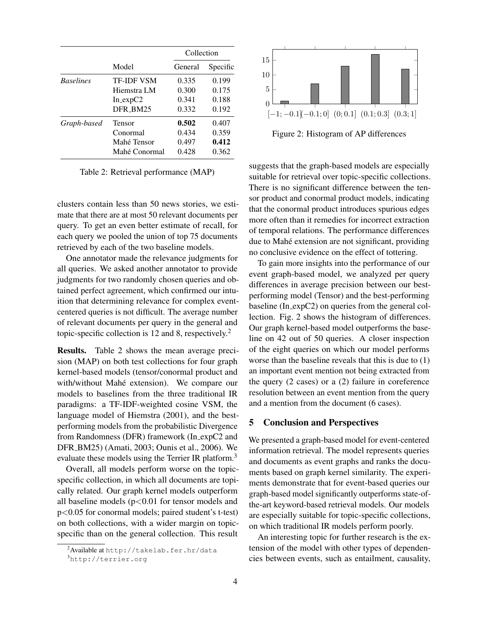|                  | Model             | Collection |          |
|------------------|-------------------|------------|----------|
|                  |                   | General    | Specific |
| <b>Baselines</b> | <b>TF-IDF VSM</b> | 0.335      | 0.199    |
|                  | Hiemstra LM       | 0.300      | 0.175    |
|                  | $In\_expC2$       | 0.341      | 0.188    |
|                  | DFR_BM25          | 0.332      | 0.192    |
| Graph-based      | Tensor            | 0.502      | 0.407    |
|                  | Conormal          | 0.434      | 0.359    |
|                  | Mahé Tensor       | 0.497      | 0.412    |
|                  | Mahé Conormal     | 0.428      | 0.362    |

Table 2: Retrieval performance (MAP)

clusters contain less than 50 news stories, we estimate that there are at most 50 relevant documents per query. To get an even better estimate of recall, for each query we pooled the union of top 75 documents retrieved by each of the two baseline models.

One annotator made the relevance judgments for all queries. We asked another annotator to provide judgments for two randomly chosen queries and obtained perfect agreement, which confirmed our intuition that determining relevance for complex eventcentered queries is not difficult. The average number of relevant documents per query in the general and topic-specific collection is 12 and 8, respectively.<sup>2</sup>

Results. Table 2 shows the mean average precision (MAP) on both test collections for four graph kernel-based models (tensor/conormal product and with/without Mahé extension). We compare our models to baselines from the three traditional IR paradigms: a TF-IDF-weighted cosine VSM, the language model of Hiemstra (2001), and the bestperforming models from the probabilistic Divergence from Randomness (DFR) framework (In expC2 and DFR BM25) (Amati, 2003; Ounis et al., 2006). We evaluate these models using the Terrier IR platform.<sup>3</sup>

Overall, all models perform worse on the topicspecific collection, in which all documents are topically related. Our graph kernel models outperform all baseline models  $(p<0.01$  for tensor models and p<0.05 for conormal models; paired student's t-test) on both collections, with a wider margin on topicspecific than on the general collection. This result



Figure 2: Histogram of AP differences

suggests that the graph-based models are especially suitable for retrieval over topic-specific collections. There is no significant difference between the tensor product and conormal product models, indicating that the conormal product introduces spurious edges more often than it remedies for incorrect extraction of temporal relations. The performance differences due to Mahé extension are not significant, providing no conclusive evidence on the effect of tottering.

To gain more insights into the performance of our event graph-based model, we analyzed per query differences in average precision between our bestperforming model (Tensor) and the best-performing baseline (In expC2) on queries from the general collection. Fig. 2 shows the histogram of differences. Our graph kernel-based model outperforms the baseline on 42 out of 50 queries. A closer inspection of the eight queries on which our model performs worse than the baseline reveals that this is due to (1) an important event mention not being extracted from the query (2 cases) or a (2) failure in coreference resolution between an event mention from the query and a mention from the document (6 cases).

### 5 Conclusion and Perspectives

We presented a graph-based model for event-centered information retrieval. The model represents queries and documents as event graphs and ranks the documents based on graph kernel similarity. The experiments demonstrate that for event-based queries our graph-based model significantly outperforms state-ofthe-art keyword-based retrieval models. Our models are especially suitable for topic-specific collections, on which traditional IR models perform poorly.

An interesting topic for further research is the extension of the model with other types of dependencies between events, such as entailment, causality,

<sup>2</sup>Available at http://takelab.fer.hr/data

<sup>3</sup>http://terrier.org